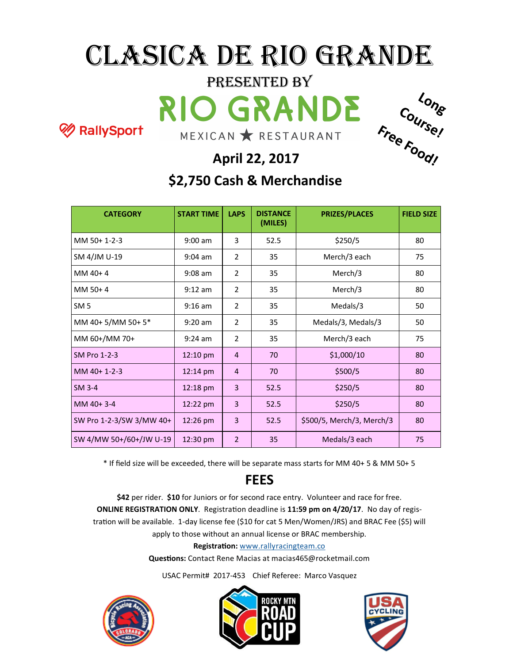### Clasica de Rio Grande

## Presented by

RallySport



#### **April 22, 2017**

#### **\$2,750 Cash & Merchandise**

| <b>CATEGORY</b>          | <b>START TIME</b>  | <b>LAPS</b>    | <b>DISTANCE</b><br>(MILES) | <b>PRIZES/PLACES</b>      | <b>FIELD SIZE</b> |
|--------------------------|--------------------|----------------|----------------------------|---------------------------|-------------------|
| MM 50+ 1-2-3             | $9:00$ am          | 3              | 52.5                       | \$250/5                   | 80                |
| SM 4/JM U-19             | $9:04$ am          | $\overline{2}$ | 35                         | Merch/3 each              | 75                |
| MM 40+4                  | $9:08$ am          | $\overline{2}$ | 35                         | Merch/3                   | 80                |
| MM 50+4                  | $9:12$ am          | $\overline{2}$ | 35                         | Merch/3                   | 80                |
| SM <sub>5</sub>          | $9:16$ am          | 2              | 35                         | Medals/3                  | 50                |
| MM 40+5/MM 50+5*         | $9:20$ am          | $\overline{2}$ | 35                         | Medals/3, Medals/3        | 50                |
| MM 60+/MM 70+            | $9:24$ am          | $\overline{2}$ | 35                         | Merch/3 each              | 75                |
| SM Pro 1-2-3             | $12:10$ pm         | $\overline{4}$ | 70                         | \$1,000/10                | 80                |
| MM 40+ 1-2-3             | $12:14 \text{ pm}$ | $\overline{4}$ | 70                         | \$500/5                   | 80                |
| SM 3-4                   | $12:18 \text{ pm}$ | 3              | 52.5                       | \$250/5                   | 80                |
| $MM40+3-4$               | 12:22 pm           | 3              | 52.5                       | \$250/5                   | 80                |
| SW Pro 1-2-3/SW 3/MW 40+ | $12:26$ pm         | 3              | 52.5                       | \$500/5, Merch/3, Merch/3 | 80                |
| SW 4/MW 50+/60+/JW U-19  | 12:30 pm           | $\overline{2}$ | 35                         | Medals/3 each             | 75                |

\* If field size will be exceeded, there will be separate mass starts for MM 40+ 5 & MM 50+ 5

#### **FEES**

**\$42** per rider. **\$10** for Juniors or for second race entry. Volunteer and race for free. **ONLINE REGISTRATION ONLY**. Registration deadline is **11:59 pm on 4/20/17**. No day of registration will be available. 1-day license fee (\$10 for cat 5 Men/Women/JRS) and BRAC Fee (\$5) will apply to those without an annual license or BRAC membership.

**Registration:** [www.rallyracingteam.co](http://www.rallyracingteam.co)

**Questions:** Contact Rene Macias at macias465@rocketmail.com

USAC Permit# 2017-453 Chief Referee: Marco Vasquez